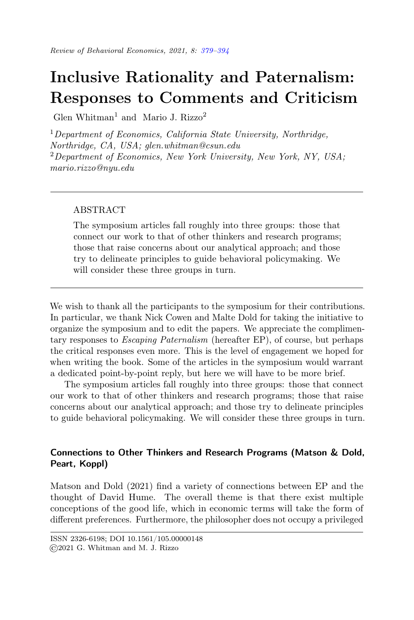# <span id="page-0-0"></span>Inclusive Rationality and Paternalism: Responses to Comments and Criticism

Glen Whitman<sup>1</sup> and Mario J. Rizzo<sup>2</sup>

 $1$ Department of Economics, California State University, Northridge, Northridge, CA, USA; glen.whitman@csun.edu  ${}^{2}$ Department of Economics, New York University, New York, NY, USA; mario.rizzo@nyu.edu

## ABSTRACT

The symposium articles fall roughly into three groups: those that connect our work to that of other thinkers and research programs; those that raise concerns about our analytical approach; and those try to delineate principles to guide behavioral policymaking. We will consider these three groups in turn.

We wish to thank all the participants to the symposium for their contributions. In particular, we thank Nick Cowen and Malte Dold for taking the initiative to organize the symposium and to edit the papers. We appreciate the complimentary responses to Escaping Paternalism (hereafter EP), of course, but perhaps the critical responses even more. This is the level of engagement we hoped for when writing the book. Some of the articles in the symposium would warrant a dedicated point-by-point reply, but here we will have to be more brief.

The symposium articles fall roughly into three groups: those that connect our work to that of other thinkers and research programs; those that raise concerns about our analytical approach; and those try to delineate principles to guide behavioral policymaking. We will consider these three groups in turn.

# Connections to Other Thinkers and Research Programs (Matson & Dold, Peart, Koppl)

Matson and Dold (2021) find a variety of connections between EP and the thought of David Hume. The overall theme is that there exist multiple conceptions of the good life, which in economic terms will take the form of different preferences. Furthermore, the philosopher does not occupy a privileged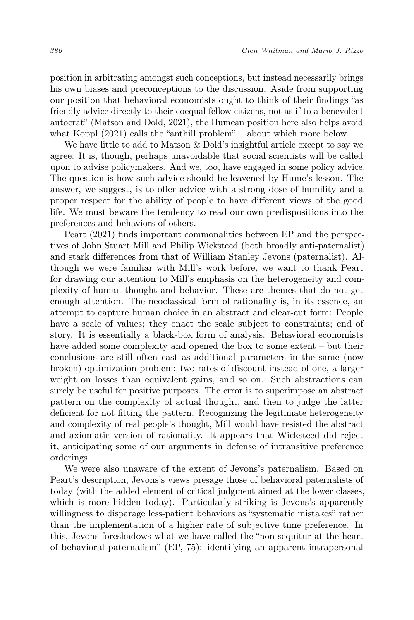position in arbitrating amongst such conceptions, but instead necessarily brings his own biases and preconceptions to the discussion. Aside from supporting our position that behavioral economists ought to think of their findings "as friendly advice directly to their coequal fellow citizens, not as if to a benevolent autocrat" (Matson and Dold, 2021), the Humean position here also helps avoid what Koppl (2021) calls the "anthill problem" – about which more below.

We have little to add to Matson & Dold's insightful article except to say we agree. It is, though, perhaps unavoidable that social scientists will be called upon to advise policymakers. And we, too, have engaged in some policy advice. The question is how such advice should be leavened by Hume's lesson. The answer, we suggest, is to offer advice with a strong dose of humility and a proper respect for the ability of people to have different views of the good life. We must beware the tendency to read our own predispositions into the preferences and behaviors of others.

Peart (2021) finds important commonalities between EP and the perspectives of John Stuart Mill and Philip Wicksteed (both broadly anti-paternalist) and stark differences from that of William Stanley Jevons (paternalist). Although we were familiar with Mill's work before, we want to thank Peart for drawing our attention to Mill's emphasis on the heterogeneity and complexity of human thought and behavior. These are themes that do not get enough attention. The neoclassical form of rationality is, in its essence, an attempt to capture human choice in an abstract and clear-cut form: People have a scale of values; they enact the scale subject to constraints; end of story. It is essentially a black-box form of analysis. Behavioral economists have added some complexity and opened the box to some extent – but their conclusions are still often cast as additional parameters in the same (now broken) optimization problem: two rates of discount instead of one, a larger weight on losses than equivalent gains, and so on. Such abstractions can surely be useful for positive purposes. The error is to superimpose an abstract pattern on the complexity of actual thought, and then to judge the latter deficient for not fitting the pattern. Recognizing the legitimate heterogeneity and complexity of real people's thought, Mill would have resisted the abstract and axiomatic version of rationality. It appears that Wicksteed did reject it, anticipating some of our arguments in defense of intransitive preference orderings.

We were also unaware of the extent of Jevons's paternalism. Based on Peart's description, Jevons's views presage those of behavioral paternalists of today (with the added element of critical judgment aimed at the lower classes, which is more hidden today). Particularly striking is Jevons's apparently willingness to disparage less-patient behaviors as "systematic mistakes" rather than the implementation of a higher rate of subjective time preference. In this, Jevons foreshadows what we have called the "non sequitur at the heart of behavioral paternalism" (EP, 75): identifying an apparent intrapersonal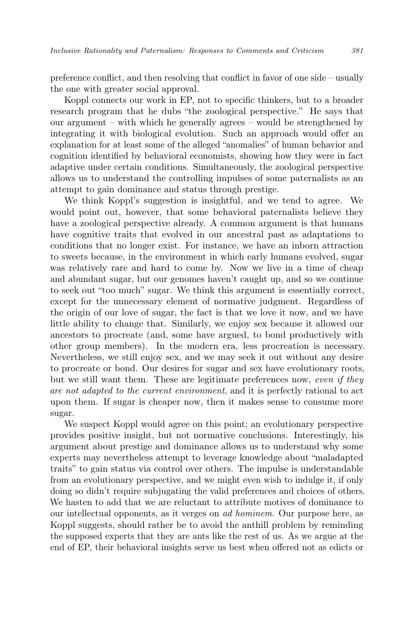preference conflict, and then resolving that conflict in favor of one side – usually the one with greater social approval.

Koppl connects our work in EP, not to specific thinkers, but to a broader research program that he dubs "the zoological perspective." He says that our argument – with which he generally agrees – would be strengthened by integrating it with biological evolution. Such an approach would offer an explanation for at least some of the alleged "anomalies" of human behavior and cognition identified by behavioral economists, showing how they were in fact adaptive under certain conditions. Simultaneously, the zoological perspective allows us to understand the controlling impulses of some paternalists as an attempt to gain dominance and status through prestige.

We think Koppl's suggestion is insightful, and we tend to agree. We would point out, however, that some behavioral paternalists believe they have a zoological perspective already. A common argument is that humans have cognitive traits that evolved in our ancestral past as adaptations to conditions that no longer exist. For instance, we have an inborn attraction to sweets because, in the environment in which early humans evolved, sugar was relatively rare and hard to come by. Now we live in a time of cheap and abundant sugar, but our genomes haven't caught up, and so we continue to seek out "too much" sugar. We think this argument is essentially correct, except for the unnecessary element of normative judgment. Regardless of the origin of our love of sugar, the fact is that we love it now, and we have little ability to change that. Similarly, we enjoy sex because it allowed our ancestors to procreate (and, some have argued, to bond productively with other group members). In the modern era, less procreation is necessary. Nevertheless, we still enjoy sex, and we may seek it out without any desire to procreate or bond. Our desires for sugar and sex have evolutionary roots, but we still want them. These are legitimate preferences now, even if they are not adapted to the current environment, and it is perfectly rational to act upon them. If sugar is cheaper now, then it makes sense to consume more sugar.

We suspect Koppl would agree on this point; an evolutionary perspective provides positive insight, but not normative conclusions. Interestingly, his argument about prestige and dominance allows us to understand why some experts may nevertheless attempt to leverage knowledge about "maladapted traits" to gain status via control over others. The impulse is understandable from an evolutionary perspective, and we might even wish to indulge it, if only doing so didn't require subjugating the valid preferences and choices of others. We hasten to add that we are reluctant to attribute motives of dominance to our intellectual opponents, as it verges on ad hominem. Our purpose here, as Koppl suggests, should rather be to avoid the anthill problem by reminding the supposed experts that they are ants like the rest of us. As we argue at the end of EP, their behavioral insights serve us best when offered not as edicts or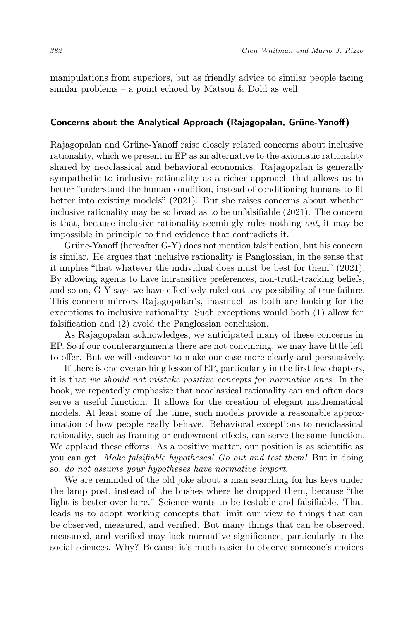manipulations from superiors, but as friendly advice to similar people facing similar problems – a point echoed by Matson & Dold as well.

#### Concerns about the Analytical Approach (Rajagopalan, Grüne-Yanoff)

Rajagopalan and Grüne-Yanoff raise closely related concerns about inclusive rationality, which we present in EP as an alternative to the axiomatic rationality shared by neoclassical and behavioral economics. Rajagopalan is generally sympathetic to inclusive rationality as a richer approach that allows us to better "understand the human condition, instead of conditioning humans to fit better into existing models" (2021). But she raises concerns about whether inclusive rationality may be so broad as to be unfalsifiable (2021). The concern is that, because inclusive rationality seemingly rules nothing out, it may be impossible in principle to find evidence that contradicts it.

Grüne-Yanoff (hereafter G-Y) does not mention falsification, but his concern is similar. He argues that inclusive rationality is Panglossian, in the sense that it implies "that whatever the individual does must be best for them" (2021). By allowing agents to have intransitive preferences, non-truth-tracking beliefs, and so on, G-Y says we have effectively ruled out any possibility of true failure. This concern mirrors Rajagopalan's, inasmuch as both are looking for the exceptions to inclusive rationality. Such exceptions would both (1) allow for falsification and (2) avoid the Panglossian conclusion.

As Rajagopalan acknowledges, we anticipated many of these concerns in EP. So if our counterarguments there are not convincing, we may have little left to offer. But we will endeavor to make our case more clearly and persuasively.

If there is one overarching lesson of EP, particularly in the first few chapters, it is that we should not mistake positive concepts for normative ones. In the book, we repeatedly emphasize that neoclassical rationality can and often does serve a useful function. It allows for the creation of elegant mathematical models. At least some of the time, such models provide a reasonable approximation of how people really behave. Behavioral exceptions to neoclassical rationality, such as framing or endowment effects, can serve the same function. We applaud these efforts. As a positive matter, our position is as scientific as you can get: Make falsifiable hypotheses! Go out and test them! But in doing so, do not assume your hypotheses have normative import.

We are reminded of the old joke about a man searching for his keys under the lamp post, instead of the bushes where he dropped them, because "the light is better over here." Science wants to be testable and falsifiable. That leads us to adopt working concepts that limit our view to things that can be observed, measured, and verified. But many things that can be observed, measured, and verified may lack normative significance, particularly in the social sciences. Why? Because it's much easier to observe someone's choices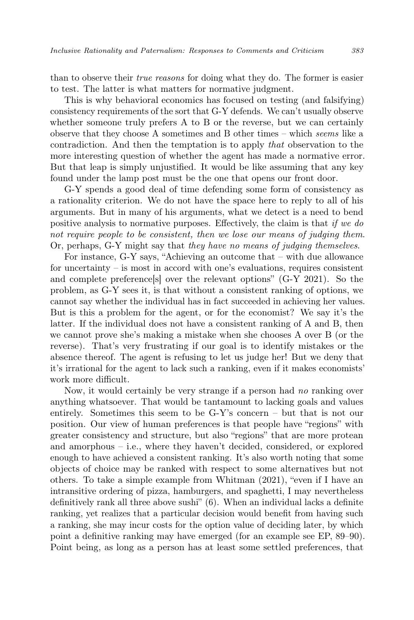than to observe their true reasons for doing what they do. The former is easier to test. The latter is what matters for normative judgment.

This is why behavioral economics has focused on testing (and falsifying) consistency requirements of the sort that G-Y defends. We can't usually observe whether someone truly prefers A to B or the reverse, but we can certainly observe that they choose A sometimes and B other times – which seems like a contradiction. And then the temptation is to apply that observation to the more interesting question of whether the agent has made a normative error. But that leap is simply unjustified. It would be like assuming that any key found under the lamp post must be the one that opens our front door.

G-Y spends a good deal of time defending some form of consistency as a rationality criterion. We do not have the space here to reply to all of his arguments. But in many of his arguments, what we detect is a need to bend positive analysis to normative purposes. Effectively, the claim is that if we do not require people to be consistent, then we lose our means of judging them. Or, perhaps, G-Y might say that they have no means of judging themselves.

For instance, G-Y says, "Achieving an outcome that – with due allowance for uncertainty – is most in accord with one's evaluations, requires consistent and complete preferences over the relevant options" (G-Y 2021). So the problem, as G-Y sees it, is that without a consistent ranking of options, we cannot say whether the individual has in fact succeeded in achieving her values. But is this a problem for the agent, or for the economist? We say it's the latter. If the individual does not have a consistent ranking of A and B, then we cannot prove she's making a mistake when she chooses A over B (or the reverse). That's very frustrating if our goal is to identify mistakes or the absence thereof. The agent is refusing to let us judge her! But we deny that it's irrational for the agent to lack such a ranking, even if it makes economists' work more difficult.

Now, it would certainly be very strange if a person had no ranking over anything whatsoever. That would be tantamount to lacking goals and values entirely. Sometimes this seem to be G-Y's concern – but that is not our position. Our view of human preferences is that people have "regions" with greater consistency and structure, but also "regions" that are more protean and amorphous – i.e., where they haven't decided, considered, or explored enough to have achieved a consistent ranking. It's also worth noting that some objects of choice may be ranked with respect to some alternatives but not others. To take a simple example from Whitman (2021), "even if I have an intransitive ordering of pizza, hamburgers, and spaghetti, I may nevertheless definitively rank all three above sushi" (6). When an individual lacks a definite ranking, yet realizes that a particular decision would benefit from having such a ranking, she may incur costs for the option value of deciding later, by which point a definitive ranking may have emerged (for an example see EP, 89–90). Point being, as long as a person has at least some settled preferences, that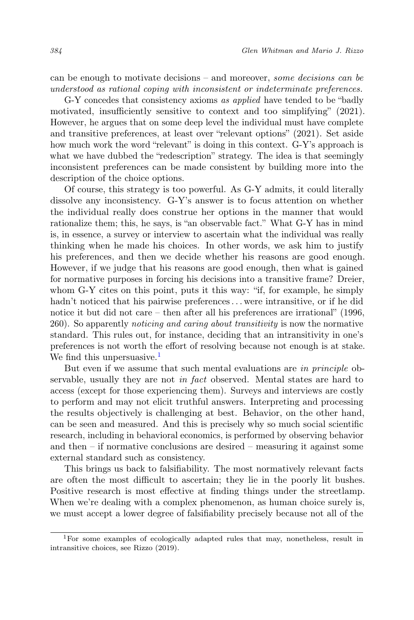can be enough to motivate decisions – and moreover, some decisions can be understood as rational coping with inconsistent or indeterminate preferences.

G-Y concedes that consistency axioms as applied have tended to be "badly motivated, insufficiently sensitive to context and too simplifying" (2021). However, he argues that on some deep level the individual must have complete and transitive preferences, at least over "relevant options" (2021). Set aside how much work the word "relevant" is doing in this context. G-Y's approach is what we have dubbed the "redescription" strategy. The idea is that seemingly inconsistent preferences can be made consistent by building more into the description of the choice options.

Of course, this strategy is too powerful. As G-Y admits, it could literally dissolve any inconsistency. G-Y's answer is to focus attention on whether the individual really does construe her options in the manner that would rationalize them; this, he says, is "an observable fact." What G-Y has in mind is, in essence, a survey or interview to ascertain what the individual was really thinking when he made his choices. In other words, we ask him to justify his preferences, and then we decide whether his reasons are good enough. However, if we judge that his reasons are good enough, then what is gained for normative purposes in forcing his decisions into a transitive frame? Dreier, whom G-Y cites on this point, puts it this way: "if, for example, he simply hadn't noticed that his pairwise preferences... were intransitive, or if he did notice it but did not care – then after all his preferences are irrational" (1996, 260). So apparently noticing and caring about transitivity is now the normative standard. This rules out, for instance, deciding that an intransitivity in one's preferences is not worth the effort of resolving because not enough is at stake. We find this unpersuasive. $<sup>1</sup>$  $<sup>1</sup>$  $<sup>1</sup>$ </sup>

But even if we assume that such mental evaluations are in principle observable, usually they are not in fact observed. Mental states are hard to access (except for those experiencing them). Surveys and interviews are costly to perform and may not elicit truthful answers. Interpreting and processing the results objectively is challenging at best. Behavior, on the other hand, can be seen and measured. And this is precisely why so much social scientific research, including in behavioral economics, is performed by observing behavior and then – if normative conclusions are desired – measuring it against some external standard such as consistency.

This brings us back to falsifiability. The most normatively relevant facts are often the most difficult to ascertain; they lie in the poorly lit bushes. Positive research is most effective at finding things under the streetlamp. When we're dealing with a complex phenomenon, as human choice surely is, we must accept a lower degree of falsifiability precisely because not all of the

<span id="page-5-0"></span><sup>1</sup>For some examples of ecologically adapted rules that may, nonetheless, result in intransitive choices, see Rizzo (2019).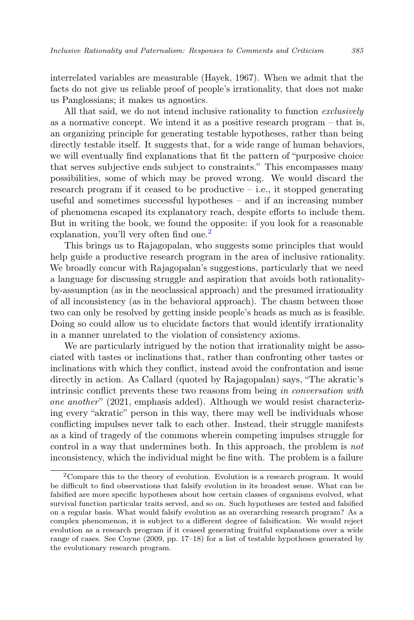interrelated variables are measurable (Hayek, 1967). When we admit that the facts do not give us reliable proof of people's irrationality, that does not make us Panglossians; it makes us agnostics.

All that said, we do not intend inclusive rationality to function *exclusively* as a normative concept. We intend it as a positive research program – that is, an organizing principle for generating testable hypotheses, rather than being directly testable itself. It suggests that, for a wide range of human behaviors, we will eventually find explanations that fit the pattern of "purposive choice that serves subjective ends subject to constraints." This encompasses many possibilities, some of which may be proved wrong. We would discard the research program if it ceased to be productive  $-$  i.e., it stopped generating useful and sometimes successful hypotheses – and if an increasing number of phenomena escaped its explanatory reach, despite efforts to include them. But in writing the book, we found the opposite: if you look for a reasonable explanation, you'll very often find one.<sup>[2](#page-6-0)</sup>

This brings us to Rajagopalan, who suggests some principles that would help guide a productive research program in the area of inclusive rationality. We broadly concur with Rajagopalan's suggestions, particularly that we need a language for discussing struggle and aspiration that avoids both rationalityby-assumption (as in the neoclassical approach) and the presumed irrationality of all inconsistency (as in the behavioral approach). The chasm between those two can only be resolved by getting inside people's heads as much as is feasible. Doing so could allow us to elucidate factors that would identify irrationality in a manner unrelated to the violation of consistency axioms.

We are particularly intrigued by the notion that irrationality might be associated with tastes or inclinations that, rather than confronting other tastes or inclinations with which they conflict, instead avoid the confrontation and issue directly in action. As Callard (quoted by Rajagopalan) says, "The akratic's intrinsic conflict prevents these two reasons from being in conversation with one another"  $(2021,$  emphasis added). Although we would resist characterizing every "akratic" person in this way, there may well be individuals whose conflicting impulses never talk to each other. Instead, their struggle manifests as a kind of tragedy of the commons wherein competing impulses struggle for control in a way that undermines both. In this approach, the problem is not inconsistency, which the individual might be fine with. The problem is a failure

<span id="page-6-0"></span><sup>2</sup>Compare this to the theory of evolution. Evolution is a research program. It would be difficult to find observations that falsify evolution in its broadest sense. What can be falsified are more specific hypotheses about how certain classes of organisms evolved, what survival function particular traits served, and so on. Such hypotheses are tested and falsified on a regular basis. What would falsify evolution as an overarching research program? As a complex phenomenon, it is subject to a different degree of falsification. We would reject evolution as a research program if it ceased generating fruitful explanations over a wide range of cases. See Coyne (2009, pp. 17–18) for a list of testable hypotheses generated by the evolutionary research program.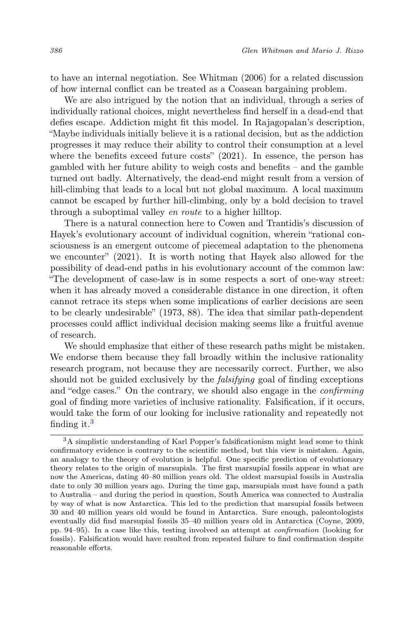to have an internal negotiation. See Whitman (2006) for a related discussion of how internal conflict can be treated as a Coasean bargaining problem.

We are also intrigued by the notion that an individual, through a series of individually rational choices, might nevertheless find herself in a dead-end that defies escape. Addiction might fit this model. In Rajagopalan's description, "Maybe individuals initially believe it is a rational decision, but as the addiction progresses it may reduce their ability to control their consumption at a level where the benefits exceed future costs" (2021). In essence, the person has gambled with her future ability to weigh costs and benefits – and the gamble turned out badly. Alternatively, the dead-end might result from a version of hill-climbing that leads to a local but not global maximum. A local maximum cannot be escaped by further hill-climbing, only by a bold decision to travel through a suboptimal valley en route to a higher hilltop.

There is a natural connection here to Cowen and Trantidis's discussion of Hayek's evolutionary account of individual cognition, wherein "rational consciousness is an emergent outcome of piecemeal adaptation to the phenomena we encounter" (2021). It is worth noting that Hayek also allowed for the possibility of dead-end paths in his evolutionary account of the common law: "The development of case-law is in some respects a sort of one-way street: when it has already moved a considerable distance in one direction, it often cannot retrace its steps when some implications of earlier decisions are seen to be clearly undesirable" (1973, 88). The idea that similar path-dependent processes could afflict individual decision making seems like a fruitful avenue of research.

We should emphasize that either of these research paths might be mistaken. We endorse them because they fall broadly within the inclusive rationality research program, not because they are necessarily correct. Further, we also should not be guided exclusively by the *falsifying* goal of finding exceptions and "edge cases." On the contrary, we should also engage in the confirming goal of finding more varieties of inclusive rationality. Falsification, if it occurs, would take the form of our looking for inclusive rationality and repeatedly not finding it.<sup>[3](#page-7-0)</sup>

<span id="page-7-0"></span><sup>3</sup>A simplistic understanding of Karl Popper's falsificationism might lead some to think confirmatory evidence is contrary to the scientific method, but this view is mistaken. Again, an analogy to the theory of evolution is helpful. One specific prediction of evolutionary theory relates to the origin of marsupials. The first marsupial fossils appear in what are now the Americas, dating 40–80 million years old. The oldest marsupial fossils in Australia date to only 30 million years ago. During the time gap, marsupials must have found a path to Australia – and during the period in question, South America was connected to Australia by way of what is now Antarctica. This led to the prediction that marsupial fossils between 30 and 40 million years old would be found in Antarctica. Sure enough, paleontologists eventually did find marsupial fossils 35–40 million years old in Antarctica (Coyne, 2009, pp. 94–95). In a case like this, testing involved an attempt at confirmation (looking for fossils). Falsification would have resulted from repeated failure to find confirmation despite reasonable efforts.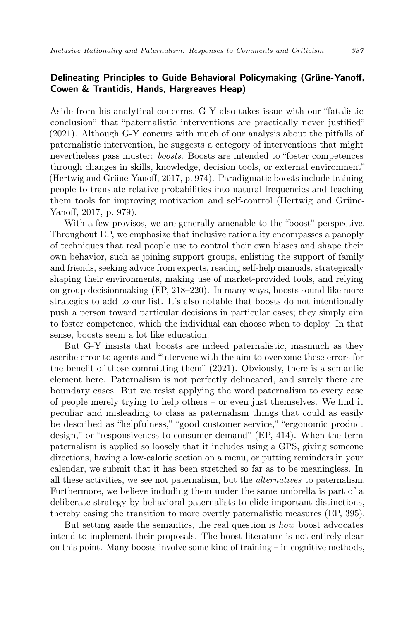## Delineating Principles to Guide Behavioral Policymaking (Grüne-Yanoff, Cowen & Trantidis, Hands, Hargreaves Heap)

Aside from his analytical concerns, G-Y also takes issue with our "fatalistic conclusion" that "paternalistic interventions are practically never justified" (2021). Although G-Y concurs with much of our analysis about the pitfalls of paternalistic intervention, he suggests a category of interventions that might nevertheless pass muster: boosts. Boosts are intended to "foster competences through changes in skills, knowledge, decision tools, or external environment" (Hertwig and Grüne-Yanoff, 2017, p. 974). Paradigmatic boosts include training people to translate relative probabilities into natural frequencies and teaching them tools for improving motivation and self-control (Hertwig and Grüne-Yanoff, 2017, p. 979).

With a few provisos, we are generally amenable to the "boost" perspective. Throughout EP, we emphasize that inclusive rationality encompasses a panoply of techniques that real people use to control their own biases and shape their own behavior, such as joining support groups, enlisting the support of family and friends, seeking advice from experts, reading self-help manuals, strategically shaping their environments, making use of market-provided tools, and relying on group decisionmaking (EP, 218–220). In many ways, boosts sound like more strategies to add to our list. It's also notable that boosts do not intentionally push a person toward particular decisions in particular cases; they simply aim to foster competence, which the individual can choose when to deploy. In that sense, boosts seem a lot like education.

But G-Y insists that boosts are indeed paternalistic, inasmuch as they ascribe error to agents and "intervene with the aim to overcome these errors for the benefit of those committing them" (2021). Obviously, there is a semantic element here. Paternalism is not perfectly delineated, and surely there are boundary cases. But we resist applying the word paternalism to every case of people merely trying to help others – or even just themselves. We find it peculiar and misleading to class as paternalism things that could as easily be described as "helpfulness," "good customer service," "ergonomic product design," or "responsiveness to consumer demand" (EP, 414). When the term paternalism is applied so loosely that it includes using a GPS, giving someone directions, having a low-calorie section on a menu, or putting reminders in your calendar, we submit that it has been stretched so far as to be meaningless. In all these activities, we see not paternalism, but the alternatives to paternalism. Furthermore, we believe including them under the same umbrella is part of a deliberate strategy by behavioral paternalists to elide important distinctions, thereby easing the transition to more overtly paternalistic measures (EP, 395).

But setting aside the semantics, the real question is how boost advocates intend to implement their proposals. The boost literature is not entirely clear on this point. Many boosts involve some kind of training  $-$  in cognitive methods,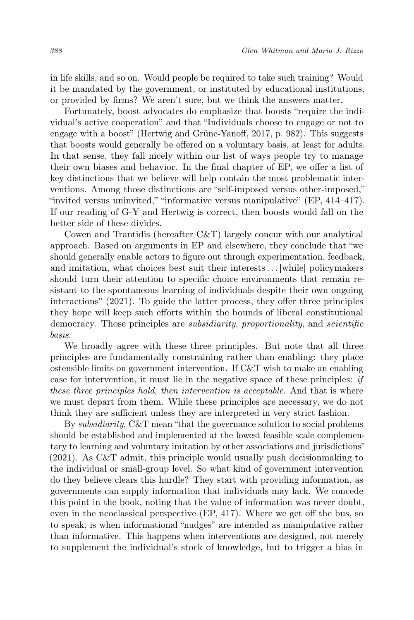in life skills, and so on. Would people be required to take such training? Would it be mandated by the government, or instituted by educational institutions, or provided by firms? We aren't sure, but we think the answers matter.

Fortunately, boost advocates do emphasize that boosts "require the individual's active cooperation" and that "Individuals choose to engage or not to engage with a boost" (Hertwig and Grüne-Yanoff, 2017, p. 982). This suggests that boosts would generally be offered on a voluntary basis, at least for adults. In that sense, they fall nicely within our list of ways people try to manage their own biases and behavior. In the final chapter of EP, we offer a list of key distinctions that we believe will help contain the most problematic interventions. Among those distinctions are "self-imposed versus other-imposed," "invited versus uninvited," "informative versus manipulative" (EP, 414–417). If our reading of G-Y and Hertwig is correct, then boosts would fall on the better side of these divides.

Cowen and Trantidis (hereafter C&T) largely concur with our analytical approach. Based on arguments in EP and elsewhere, they conclude that "we should generally enable actors to figure out through experimentation, feedback, and imitation, what choices best suit their interests. . . [while] policymakers should turn their attention to specific choice environments that remain resistant to the spontaneous learning of individuals despite their own ongoing interactions" (2021). To guide the latter process, they offer three principles they hope will keep such efforts within the bounds of liberal constitutional democracy. Those principles are subsidiarity, proportionality, and scientific basis.

We broadly agree with these three principles. But note that all three principles are fundamentally constraining rather than enabling: they place ostensible limits on government intervention. If C&T wish to make an enabling case for intervention, it must lie in the negative space of these principles: if these three principles hold, then intervention is acceptable. And that is where we must depart from them. While these principles are necessary, we do not think they are sufficient unless they are interpreted in very strict fashion.

By subsidiarity, C&T mean "that the governance solution to social problems should be established and implemented at the lowest feasible scale complementary to learning and voluntary imitation by other associations and jurisdictions" (2021). As C&T admit, this principle would usually push decisionmaking to the individual or small-group level. So what kind of government intervention do they believe clears this hurdle? They start with providing information, as governments can supply information that individuals may lack. We concede this point in the book, noting that the value of information was never doubt, even in the neoclassical perspective (EP, 417). Where we get off the bus, so to speak, is when informational "nudges" are intended as manipulative rather than informative. This happens when interventions are designed, not merely to supplement the individual's stock of knowledge, but to trigger a bias in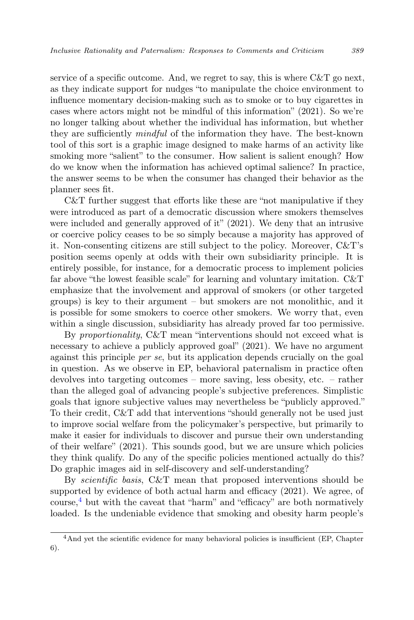service of a specific outcome. And, we regret to say, this is where  $C\&T$  go next, as they indicate support for nudges "to manipulate the choice environment to influence momentary decision-making such as to smoke or to buy cigarettes in cases where actors might not be mindful of this information" (2021). So we're no longer talking about whether the individual has information, but whether they are sufficiently mindful of the information they have. The best-known tool of this sort is a graphic image designed to make harms of an activity like smoking more "salient" to the consumer. How salient is salient enough? How do we know when the information has achieved optimal salience? In practice, the answer seems to be when the consumer has changed their behavior as the planner sees fit.

C&T further suggest that efforts like these are "not manipulative if they were introduced as part of a democratic discussion where smokers themselves were included and generally approved of it" (2021). We deny that an intrusive or coercive policy ceases to be so simply because a majority has approved of it. Non-consenting citizens are still subject to the policy. Moreover, C&T's position seems openly at odds with their own subsidiarity principle. It is entirely possible, for instance, for a democratic process to implement policies far above "the lowest feasible scale" for learning and voluntary imitation. C&T emphasize that the involvement and approval of smokers (or other targeted groups) is key to their argument – but smokers are not monolithic, and it is possible for some smokers to coerce other smokers. We worry that, even within a single discussion, subsidiarity has already proved far too permissive.

By proportionality, C&T mean "interventions should not exceed what is necessary to achieve a publicly approved goal" (2021). We have no argument against this principle per se, but its application depends crucially on the goal in question. As we observe in EP, behavioral paternalism in practice often devolves into targeting outcomes – more saving, less obesity, etc. – rather than the alleged goal of advancing people's subjective preferences. Simplistic goals that ignore subjective values may nevertheless be "publicly approved." To their credit, C&T add that interventions "should generally not be used just to improve social welfare from the policymaker's perspective, but primarily to make it easier for individuals to discover and pursue their own understanding of their welfare" (2021). This sounds good, but we are unsure which policies they think qualify. Do any of the specific policies mentioned actually do this? Do graphic images aid in self-discovery and self-understanding?

By scientific basis, C&T mean that proposed interventions should be supported by evidence of both actual harm and efficacy (2021). We agree, of course, $\frac{4}{3}$  $\frac{4}{3}$  $\frac{4}{3}$  but with the caveat that "harm" and "efficacy" are both normatively loaded. Is the undeniable evidence that smoking and obesity harm people's

<span id="page-10-0"></span><sup>&</sup>lt;sup>4</sup>And yet the scientific evidence for many behavioral policies is insufficient (EP, Chapter 6).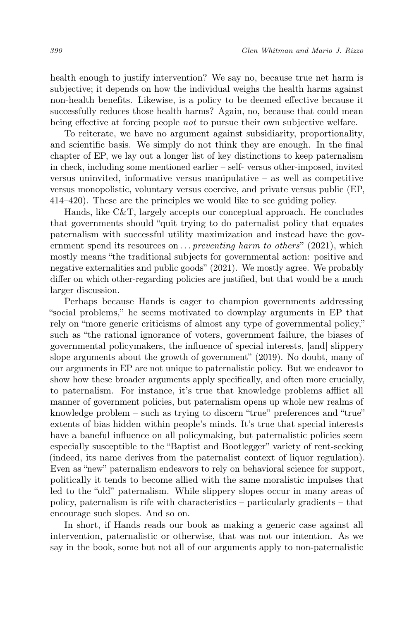health enough to justify intervention? We say no, because true net harm is subjective; it depends on how the individual weighs the health harms against non-health benefits. Likewise, is a policy to be deemed effective because it successfully reduces those health harms? Again, no, because that could mean being effective at forcing people not to pursue their own subjective welfare.

To reiterate, we have no argument against subsidiarity, proportionality, and scientific basis. We simply do not think they are enough. In the final chapter of EP, we lay out a longer list of key distinctions to keep paternalism in check, including some mentioned earlier – self- versus other-imposed, invited versus uninvited, informative versus manipulative – as well as competitive versus monopolistic, voluntary versus coercive, and private versus public (EP, 414–420). These are the principles we would like to see guiding policy.

Hands, like C&T, largely accepts our conceptual approach. He concludes that governments should "quit trying to do paternalist policy that equates paternalism with successful utility maximization and instead have the government spend its resources on  $\dots$  preventing harm to others" (2021), which mostly means "the traditional subjects for governmental action: positive and negative externalities and public goods" (2021). We mostly agree. We probably differ on which other-regarding policies are justified, but that would be a much larger discussion.

Perhaps because Hands is eager to champion governments addressing "social problems," he seems motivated to downplay arguments in EP that rely on "more generic criticisms of almost any type of governmental policy," such as "the rational ignorance of voters, government failure, the biases of governmental policymakers, the influence of special interests, [and] slippery slope arguments about the growth of government" (2019). No doubt, many of our arguments in EP are not unique to paternalistic policy. But we endeavor to show how these broader arguments apply specifically, and often more crucially, to paternalism. For instance, it's true that knowledge problems afflict all manner of government policies, but paternalism opens up whole new realms of knowledge problem – such as trying to discern "true" preferences and "true" extents of bias hidden within people's minds. It's true that special interests have a baneful influence on all policymaking, but paternalistic policies seem especially susceptible to the "Baptist and Bootlegger" variety of rent-seeking (indeed, its name derives from the paternalist context of liquor regulation). Even as "new" paternalism endeavors to rely on behavioral science for support, politically it tends to become allied with the same moralistic impulses that led to the "old" paternalism. While slippery slopes occur in many areas of policy, paternalism is rife with characteristics – particularly gradients – that encourage such slopes. And so on.

In short, if Hands reads our book as making a generic case against all intervention, paternalistic or otherwise, that was not our intention. As we say in the book, some but not all of our arguments apply to non-paternalistic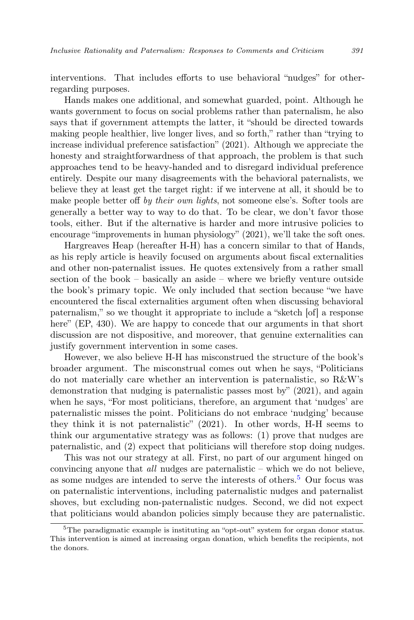interventions. That includes efforts to use behavioral "nudges" for otherregarding purposes.

Hands makes one additional, and somewhat guarded, point. Although he wants government to focus on social problems rather than paternalism, he also says that if government attempts the latter, it "should be directed towards making people healthier, live longer lives, and so forth," rather than "trying to increase individual preference satisfaction" (2021). Although we appreciate the honesty and straightforwardness of that approach, the problem is that such approaches tend to be heavy-handed and to disregard individual preference entirely. Despite our many disagreements with the behavioral paternalists, we believe they at least get the target right: if we intervene at all, it should be to make people better off by their own lights, not someone else's. Softer tools are generally a better way to way to do that. To be clear, we don't favor those tools, either. But if the alternative is harder and more intrusive policies to encourage "improvements in human physiology" (2021), we'll take the soft ones.

Hargreaves Heap (hereafter H-H) has a concern similar to that of Hands, as his reply article is heavily focused on arguments about fiscal externalities and other non-paternalist issues. He quotes extensively from a rather small section of the book – basically an aside – where we briefly venture outside the book's primary topic. We only included that section because "we have encountered the fiscal externalities argument often when discussing behavioral paternalism," so we thought it appropriate to include a "sketch [of] a response here" (EP, 430). We are happy to concede that our arguments in that short discussion are not dispositive, and moreover, that genuine externalities can justify government intervention in some cases.

However, we also believe H-H has misconstrued the structure of the book's broader argument. The misconstrual comes out when he says, "Politicians do not materially care whether an intervention is paternalistic, so R&W's demonstration that nudging is paternalistic passes most by" (2021), and again when he says, "For most politicians, therefore, an argument that 'nudges' are paternalistic misses the point. Politicians do not embrace 'nudging' because they think it is not paternalistic" (2021). In other words, H-H seems to think our argumentative strategy was as follows: (1) prove that nudges are paternalistic, and (2) expect that politicians will therefore stop doing nudges.

This was not our strategy at all. First, no part of our argument hinged on convincing anyone that all nudges are paternalistic – which we do not believe, as some nudges are intended to serve the interests of others.<sup>[5](#page-12-0)</sup> Our focus was on paternalistic interventions, including paternalistic nudges and paternalist shoves, but excluding non-paternalistic nudges. Second, we did not expect that politicians would abandon policies simply because they are paternalistic.

<span id="page-12-0"></span><sup>&</sup>lt;sup>5</sup>The paradigmatic example is instituting an "opt-out" system for organ donor status. This intervention is aimed at increasing organ donation, which benefits the recipients, not the donors.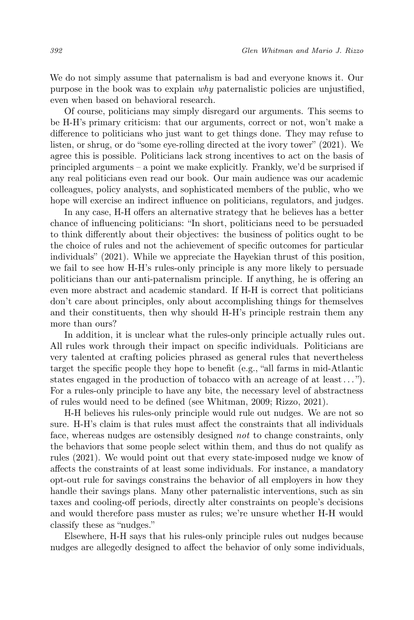We do not simply assume that paternalism is bad and everyone knows it. Our purpose in the book was to explain why paternalistic policies are unjustified, even when based on behavioral research.

Of course, politicians may simply disregard our arguments. This seems to be H-H's primary criticism: that our arguments, correct or not, won't make a difference to politicians who just want to get things done. They may refuse to listen, or shrug, or do "some eye-rolling directed at the ivory tower" (2021). We agree this is possible. Politicians lack strong incentives to act on the basis of principled arguments – a point we make explicitly. Frankly, we'd be surprised if any real politicians even read our book. Our main audience was our academic colleagues, policy analysts, and sophisticated members of the public, who we hope will exercise an indirect influence on politicians, regulators, and judges.

In any case, H-H offers an alternative strategy that he believes has a better chance of influencing politicians: "In short, politicians need to be persuaded to think differently about their objectives: the business of politics ought to be the choice of rules and not the achievement of specific outcomes for particular individuals" (2021). While we appreciate the Hayekian thrust of this position, we fail to see how H-H's rules-only principle is any more likely to persuade politicians than our anti-paternalism principle. If anything, he is offering an even more abstract and academic standard. If H-H is correct that politicians don't care about principles, only about accomplishing things for themselves and their constituents, then why should H-H's principle restrain them any more than ours?

In addition, it is unclear what the rules-only principle actually rules out. All rules work through their impact on specific individuals. Politicians are very talented at crafting policies phrased as general rules that nevertheless target the specific people they hope to benefit (e.g., "all farms in mid-Atlantic states engaged in the production of tobacco with an acreage of at least . . . "). For a rules-only principle to have any bite, the necessary level of abstractness of rules would need to be defined (see Whitman, 2009; Rizzo, 2021).

H-H believes his rules-only principle would rule out nudges. We are not so sure. H-H's claim is that rules must affect the constraints that all individuals face, whereas nudges are ostensibly designed not to change constraints, only the behaviors that some people select within them, and thus do not qualify as rules (2021). We would point out that every state-imposed nudge we know of affects the constraints of at least some individuals. For instance, a mandatory opt-out rule for savings constrains the behavior of all employers in how they handle their savings plans. Many other paternalistic interventions, such as sin taxes and cooling-off periods, directly alter constraints on people's decisions and would therefore pass muster as rules; we're unsure whether H-H would classify these as "nudges."

Elsewhere, H-H says that his rules-only principle rules out nudges because nudges are allegedly designed to affect the behavior of only some individuals,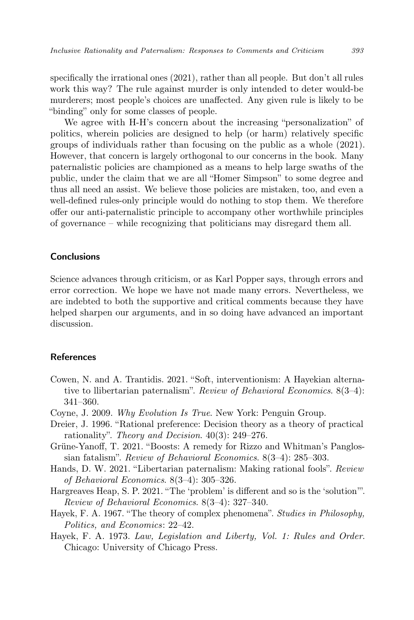specifically the irrational ones (2021), rather than all people. But don't all rules work this way? The rule against murder is only intended to deter would-be murderers; most people's choices are unaffected. Any given rule is likely to be "binding" only for some classes of people.

We agree with H-H's concern about the increasing "personalization" of politics, wherein policies are designed to help (or harm) relatively specific groups of individuals rather than focusing on the public as a whole (2021). However, that concern is largely orthogonal to our concerns in the book. Many paternalistic policies are championed as a means to help large swaths of the public, under the claim that we are all "Homer Simpson" to some degree and thus all need an assist. We believe those policies are mistaken, too, and even a well-defined rules-only principle would do nothing to stop them. We therefore offer our anti-paternalistic principle to accompany other worthwhile principles of governance – while recognizing that politicians may disregard them all.

### Conclusions

Science advances through criticism, or as Karl Popper says, through errors and error correction. We hope we have not made many errors. Nevertheless, we are indebted to both the supportive and critical comments because they have helped sharpen our arguments, and in so doing have advanced an important discussion.

## References

- Cowen, N. and A. Trantidis. 2021. "Soft, interventionism: A Hayekian alternative to llibertarian paternalism". Review of Behavioral Economics. 8(3–4): 341–360.
- Coyne, J. 2009. Why Evolution Is True. New York: Penguin Group.
- Dreier, J. 1996. "Rational preference: Decision theory as a theory of practical rationality". Theory and Decision. 40(3): 249–276.
- Grüne-Yanoff, T. 2021. "Boosts: A remedy for Rizzo and Whitman's Panglossian fatalism". Review of Behavioral Economics. 8(3–4): 285–303.
- Hands, D. W. 2021. "Libertarian paternalism: Making rational fools". Review of Behavioral Economics. 8(3–4): 305–326.
- Hargreaves Heap, S. P. 2021. "The 'problem' is different and so is the 'solution'". Review of Behavioral Economics. 8(3–4): 327–340.
- Hayek, F. A. 1967. "The theory of complex phenomena". Studies in Philosophy, Politics, and Economics: 22–42.
- Hayek, F. A. 1973. Law, Legislation and Liberty, Vol. 1: Rules and Order. Chicago: University of Chicago Press.